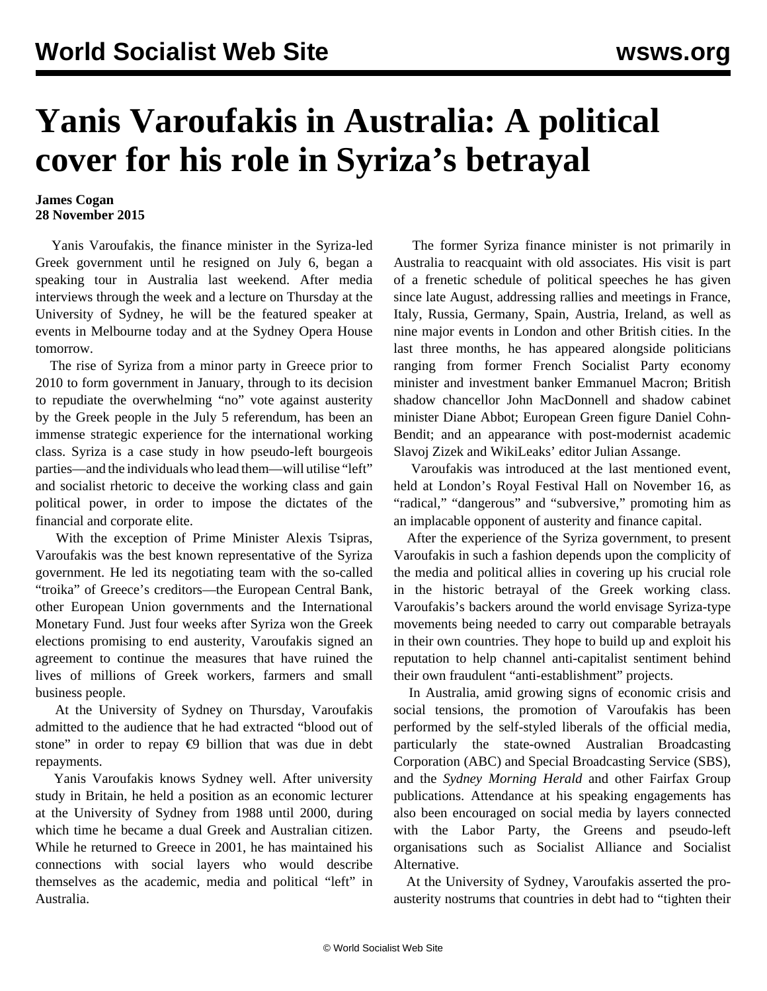## **Yanis Varoufakis in Australia: A political cover for his role in Syriza's betrayal**

## **James Cogan 28 November 2015**

 Yanis Varoufakis, the finance minister in the Syriza-led Greek government until he resigned on July 6, began a speaking tour in Australia last weekend. After media interviews through the week and a lecture on Thursday at the University of Sydney, he will be the featured speaker at events in Melbourne today and at the Sydney Opera House tomorrow.

 The rise of Syriza from a minor party in Greece prior to 2010 to form government in January, through to its decision to repudiate the overwhelming "no" vote against austerity by the Greek people in the July 5 referendum, has been an immense strategic experience for the international working class. Syriza is a case study in how pseudo-left bourgeois parties—and the individuals who lead them—will utilise "left" and socialist rhetoric to deceive the working class and gain political power, in order to impose the dictates of the financial and corporate elite.

 With the exception of Prime Minister Alexis Tsipras, Varoufakis was the best known representative of the Syriza government. He led its negotiating team with the so-called "troika" of Greece's creditors—the European Central Bank, other European Union governments and the International Monetary Fund. Just four weeks after Syriza won the Greek elections promising to end austerity, Varoufakis signed an agreement to continue the measures that have ruined the lives of millions of Greek workers, farmers and small business people.

 At the University of Sydney on Thursday, Varoufakis admitted to the audience that he had extracted "blood out of stone" in order to repay  $\epsilon$ 9 billion that was due in debt repayments.

 Yanis Varoufakis knows Sydney well. After university study in Britain, he held a position as an economic lecturer at the University of Sydney from 1988 until 2000, during which time he became a dual Greek and Australian citizen. While he returned to Greece in 2001, he has maintained his connections with social layers who would describe themselves as the academic, media and political "left" in Australia.

 The former Syriza finance minister is not primarily in Australia to reacquaint with old associates. His visit is part of a frenetic schedule of political speeches he has given since late August, addressing rallies and meetings in France, Italy, Russia, Germany, Spain, Austria, Ireland, as well as nine major events in London and other British cities. In the last three months, he has appeared alongside politicians ranging from former French Socialist Party economy minister and investment banker Emmanuel Macron; British shadow chancellor John MacDonnell and shadow cabinet minister Diane Abbot; European Green figure Daniel Cohn-Bendit; and an appearance with post-modernist academic Slavoj Zizek and WikiLeaks' editor Julian Assange.

 Varoufakis was introduced at the last mentioned event, held at London's Royal Festival Hall on November 16, as "radical," "dangerous" and "subversive," promoting him as an implacable opponent of austerity and finance capital.

 After the experience of the Syriza government, to present Varoufakis in such a fashion depends upon the complicity of the media and political allies in covering up his crucial role in the historic betrayal of the Greek working class. Varoufakis's backers around the world envisage Syriza-type movements being needed to carry out comparable betrayals in their own countries. They hope to build up and exploit his reputation to help channel anti-capitalist sentiment behind their own fraudulent "anti-establishment" projects.

 In Australia, amid growing signs of economic crisis and social tensions, the promotion of Varoufakis has been performed by the self-styled liberals of the official media, particularly the state-owned Australian Broadcasting Corporation (ABC) and Special Broadcasting Service (SBS), and the *Sydney Morning Herald* and other Fairfax Group publications. Attendance at his speaking engagements has also been encouraged on social media by layers connected with the Labor Party, the Greens and pseudo-left organisations such as Socialist Alliance and Socialist Alternative.

 At the University of Sydney, Varoufakis asserted the proausterity nostrums that countries in debt had to "tighten their